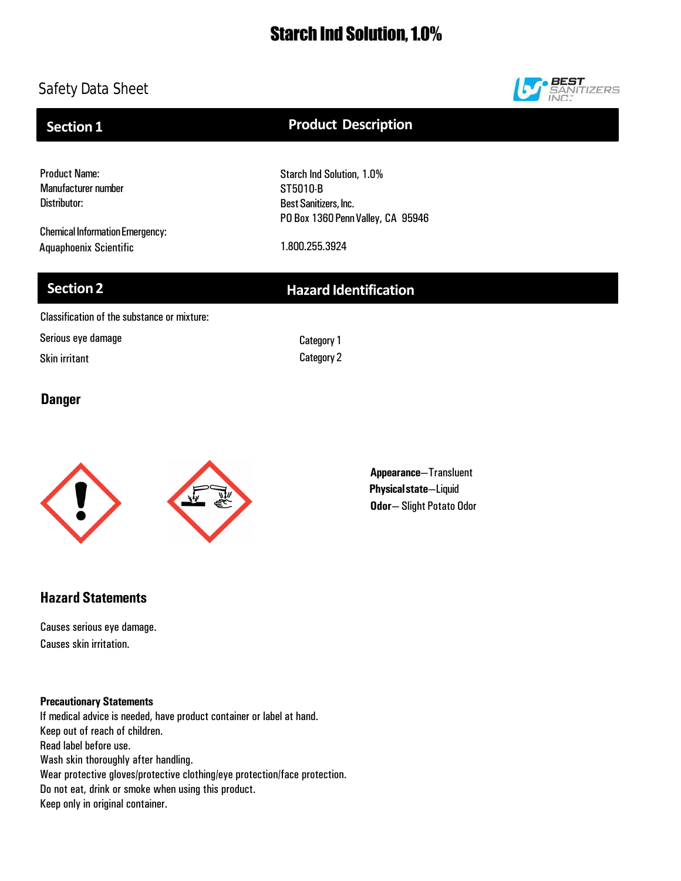# Starch Ind Solution, 1.0%

## Safety Data Sheet



**Section 1**

## **Product Description**

Product Name: Manufacturer number Distributor:

Chemical Information Emergency: Aquaphoenix Scientific 1.800.255.3924

Starch Ind Solution, 1.0% ST5010-B Best Sanitizers, Inc. PO Box 1360 Penn Valley, CA 95946

## **Section 2 Hazard Identification**

Classification of the substance or mixture:

Serious eye damage

Skin irritant

Category1 Category 2

## **Danger**



**Appearance**—Transluent **Physicalstate**—Liquid **Odor**— Slight Potato Odor

## **Hazard Statements**

Causes serious eye damage. Causes skin irritation.

**Precautionary Statements**

If medical advice is needed, have product container or label at hand. Keep out of reach of children. Read label before use. Wash skin thoroughly after handling. Wear protective gloves/protective clothing/eye protection/face protection. Do not eat, drink or smoke when using this product. Keep only in original container.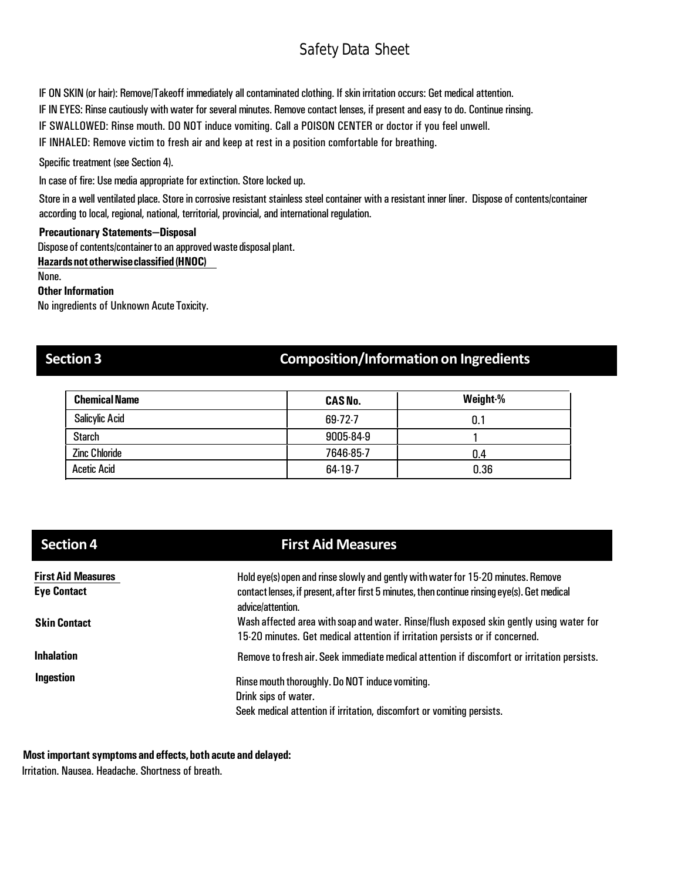IF ON SKIN (or hair): Remove/Takeoff immediately all contaminated clothing. If skin irritation occurs: Get medical attention.

IF IN EYES: Rinse cautiously with water for several minutes. Remove contact lenses, if present and easy to do. Continue rinsing.

IF SWALLOWED: Rinse mouth. DO NOT induce vomiting. Call a POISON CENTER or doctor if you feel unwell.

IF INHALED: Remove victim to fresh air and keep at rest in a position comfortable for breathing.

Specific treatment (see Section 4).

In case of fire: Use media appropriate for extinction. Store locked up.

Store in a well ventilated place. Store in corrosive resistant stainless steel container with a resistant inner liner. Dispose of contents/container according to local, regional, national, territorial, provincial, and international regulation.

### **Precautionary Statements—Disposal**

Dispose of contents/container to an approved waste disposal plant.

**Hazardsnototherwiseclassified (HNOC)**

None.

#### **Other Information**

No ingredients of Unknown Acute Toxicity.

## **Section 3 Composition/Informationon Ingredients**

| <b>Chemical Name</b>  | <b>CAS No.</b> | Weight-% |
|-----------------------|----------------|----------|
| <b>Salicylic Acid</b> | $69-72-7$      | 0.1      |
| <b>Starch</b>         | 9005-84-9      |          |
| <b>Zinc Chloride</b>  | 7646-85-7      | በ 4      |
| <b>Acetic Acid</b>    | 64-19-7        | 0.36     |

| Section 4                 | <b>First Aid Measures</b>                                                                                                                                               |
|---------------------------|-------------------------------------------------------------------------------------------------------------------------------------------------------------------------|
| <b>First Aid Measures</b> | Hold eye(s) open and rinse slowly and gently with water for 15-20 minutes. Remove                                                                                       |
| <b>Eye Contact</b>        | contact lenses, if present, after first 5 minutes, then continue rinsing eye(s). Get medical<br>advice/attention.                                                       |
| <b>Skin Contact</b>       | Wash affected area with soap and water. Rinse/flush exposed skin gently using water for<br>15-20 minutes. Get medical attention if irritation persists or if concerned. |
| <b>Inhalation</b>         | Remove to fresh air. Seek immediate medical attention if discomfort or irritation persists.                                                                             |
| Ingestion                 | Rinse mouth thoroughly. Do NOT induce vomiting.<br>Drink sips of water.                                                                                                 |
|                           | Seek medical attention if irritation, discomfort or vomiting persists.                                                                                                  |

### **Most important symptoms and effects,both acute and delayed:**

Irritation. Nausea. Headache. Shortness of breath.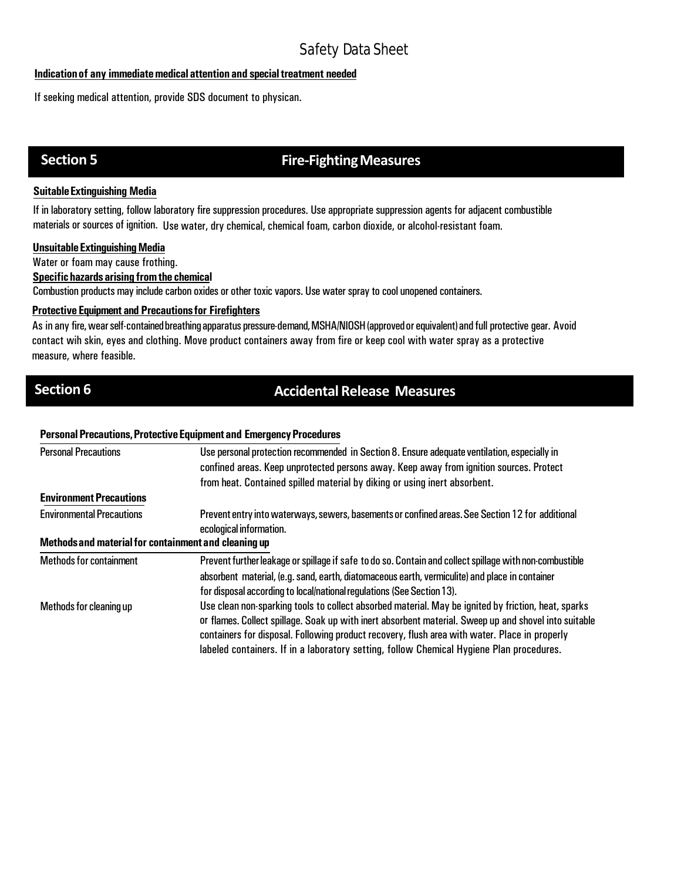#### **Indicationof any immediatemedical attention and specialtreatment needed**

If seeking medical attention, provide SDS document to physican.

## **Section 5 Fire-Fighting Measures**

### **SuitableExtinguishing Media**

If in laboratory setting, follow laboratory fire suppression procedures. Use appropriate suppression agents for adjacent combustible materials or sources of ignition. Use water, dry chemical, chemical foam, carbon dioxide, or alcohol-resistant foam.

#### **Unsuitable Extinguishing Media**

Water or foam may cause frothing.

### **Specifichazards arising fromthe chemical**

Combustion products may include carbon oxides or other toxic vapors. Use water spray to cool unopened containers.

### **Protective Equipment and Precautionsfor Firefighters**

As in any fire,wearself-containedbreathingapparatus pressure-demand,MSHA/NIOSH(approvedorequivalent)and full protective gear. Avoid contact wih skin, eyes and clothing. Move product containers away from fire or keep cool with water spray as a protective measure, where feasible.

## **Section 6 Accidental Release Measures**

#### **Personal Precautions, Protective Equipment and Emergency Procedures**

| <b>Personal Precautions</b>                          | Use personal protection recommended in Section 8. Ensure adequate ventilation, especially in<br>confined areas. Keep unprotected persons away. Keep away from ignition sources. Protect                |  |  |
|------------------------------------------------------|--------------------------------------------------------------------------------------------------------------------------------------------------------------------------------------------------------|--|--|
|                                                      | from heat. Contained spilled material by diking or using inert absorbent.                                                                                                                              |  |  |
| <b>Environment Precautions</b>                       |                                                                                                                                                                                                        |  |  |
| <b>Environmental Precautions</b>                     | Prevent entry into waterways, sewers, basements or confined areas. See Section 12 for additional<br>ecological information.                                                                            |  |  |
| Methods and material for containment and cleaning up |                                                                                                                                                                                                        |  |  |
| <b>Methods for containment</b>                       | Prevent further leakage or spillage if safe to do so. Contain and collect spillage with non-combustible                                                                                                |  |  |
|                                                      | absorbent material, (e.g. sand, earth, diatomaceous earth, vermiculite) and place in container                                                                                                         |  |  |
|                                                      | for disposal according to local/national regulations (See Section 13).                                                                                                                                 |  |  |
| Methods for cleaning up                              | Use clean non-sparking tools to collect absorbed material. May be ignited by friction, heat, sparks                                                                                                    |  |  |
|                                                      | or flames. Collect spillage. Soak up with inert absorbent material. Sweep up and shovel into suitable<br>containers for disposal. Following product recovery, flush area with water. Place in properly |  |  |
|                                                      | labeled containers. If in a laboratory setting, follow Chemical Hygiene Plan procedures.                                                                                                               |  |  |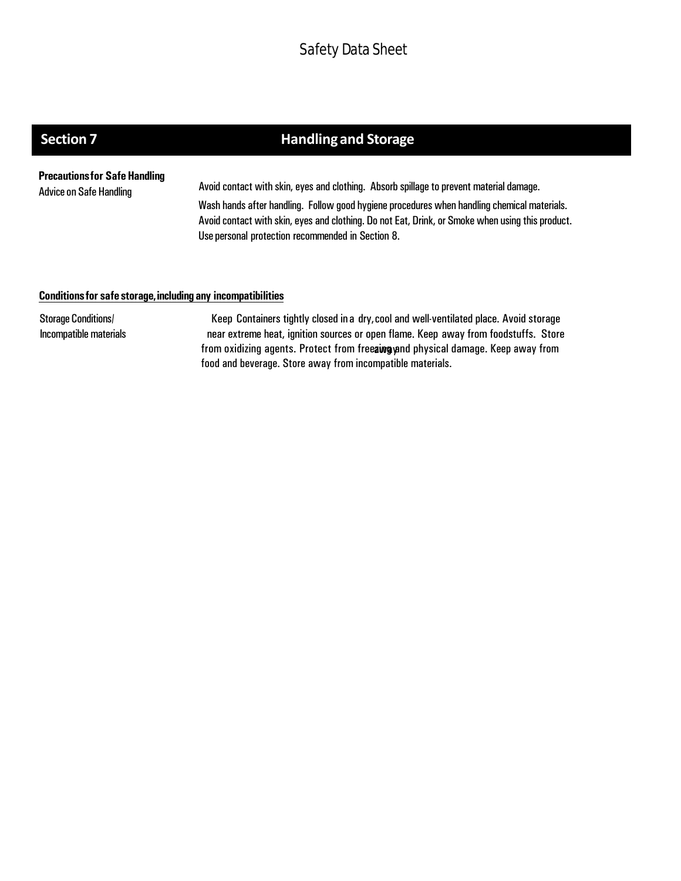# **Section 7 handling and Storage**

**Precautionsfor SafeHandling**

Advice on Safe Handling Avoid contact with skin, eyes and clothing. Absorb spillage to prevent material damage. Wash hands after handling. Follow good hygiene procedures when handling chemical materials. Avoid contact with skin, eyes and clothing. Do not Eat, Drink, or Smoke when using this product. Use personal protection recommended in Section 8.

#### **Conditionsfor safe storage,including any incompatibilities**

Storage Conditions/ Incompatible materials

Keep Containers tightly closed in a dry,cool and well-ventilated place. Avoid storage near extreme heat, ignition sources or open flame. Keep away from foodstuffs. Store from oxidizing agents. Protect from freeaing and physical damage. Keep away from food and beverage. Store away from incompatible materials.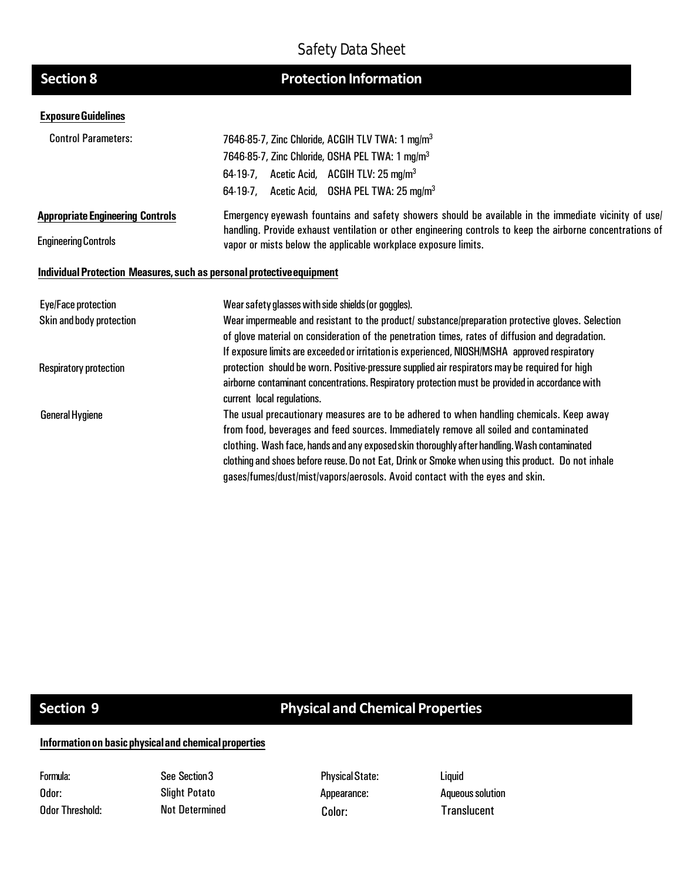# **Section 8**

# **Protection Information**

#### **ExposureGuidelines**

| <b>Control Parameters:</b>                                            | 7646-85-7, Zinc Chloride, ACGIH TLV TWA: 1 mg/m <sup>3</sup>                                                                                                                 |  |  |  |
|-----------------------------------------------------------------------|------------------------------------------------------------------------------------------------------------------------------------------------------------------------------|--|--|--|
|                                                                       | 7646-85-7, Zinc Chloride, OSHA PEL TWA: 1 mg/m <sup>3</sup>                                                                                                                  |  |  |  |
|                                                                       | 64-19-7, Acetic Acid, ACGIH TLV: 25 mg/m <sup>3</sup>                                                                                                                        |  |  |  |
|                                                                       | 64-19-7, Acetic Acid, OSHA PEL TWA: 25 mg/m <sup>3</sup>                                                                                                                     |  |  |  |
| <b>Appropriate Engineering Controls</b>                               | Emergency eyewash fountains and safety showers should be available in the immediate vicinity of use/                                                                         |  |  |  |
| <b>Engineering Controls</b>                                           | handling. Provide exhaust ventilation or other engineering controls to keep the airborne concentrations of<br>vapor or mists below the applicable workplace exposure limits. |  |  |  |
| Individual Protection Measures, such as personal protective equipment |                                                                                                                                                                              |  |  |  |
| <b>Eye/Face protection</b>                                            | Wear safety glasses with side shields (or goggles).                                                                                                                          |  |  |  |
| Skin and body protection                                              | Wear impermeable and resistant to the product/ substance/preparation protective gloves. Selection                                                                            |  |  |  |
|                                                                       | of glove material on consideration of the penetration times, rates of diffusion and degradation.                                                                             |  |  |  |
|                                                                       | If exposure limits are exceeded or irritation is experienced, NIOSH/MSHA approved respiratory                                                                                |  |  |  |
| <b>Respiratory protection</b>                                         | protection should be worn. Positive pressure supplied air respirators may be required for high                                                                               |  |  |  |
|                                                                       | airborne contaminant concentrations. Respiratory protection must be provided in accordance with<br>current local regulations.                                                |  |  |  |
| <b>General Hygiene</b>                                                | The usual precautionary measures are to be adhered to when handling chemicals. Keep away                                                                                     |  |  |  |
|                                                                       | from food, beverages and feed sources. Immediately remove all soiled and contaminated                                                                                        |  |  |  |
|                                                                       | clothing. Wash face, hands and any exposed skin thoroughly after handling. Wash contaminated                                                                                 |  |  |  |
|                                                                       | clothing and shoes before reuse. Do not Eat, Drink or Smoke when using this product. Do not inhale                                                                           |  |  |  |
|                                                                       | gases/fumes/dust/mist/vapors/aerosols. Avoid contact with the eyes and skin.                                                                                                 |  |  |  |
|                                                                       |                                                                                                                                                                              |  |  |  |

# **Section 9 Physical and Chemical Properties**

## **Informationon basicphysicaland chemicalproperties**

Formula: Odor: Odor Threshold:

See Section3 Slight Potato

Physical State: Appearance: Not Determined Color: Translucent

Liquid **Aqueous solution**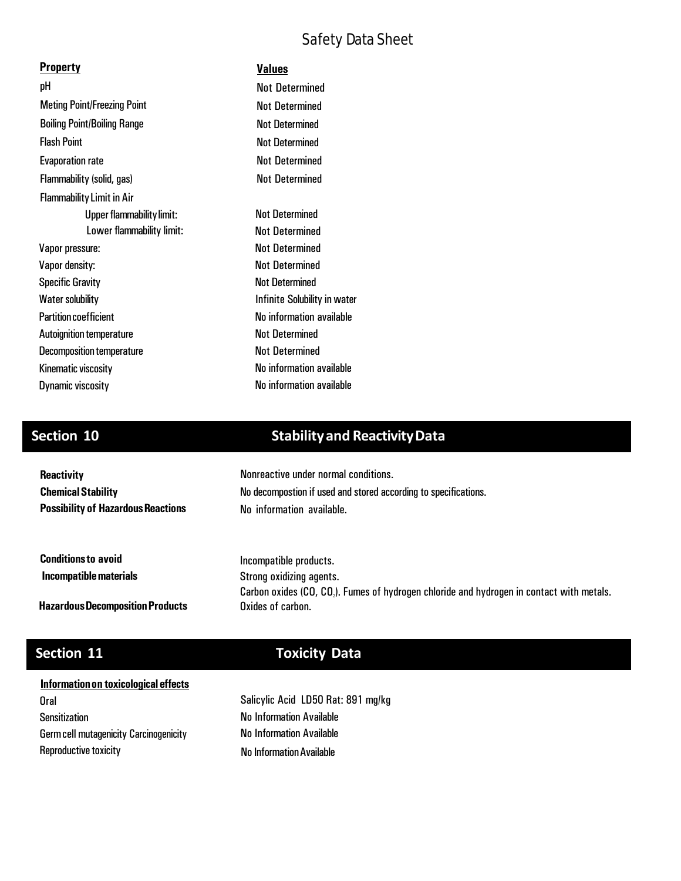| <b>Property</b>                    | <b>Values</b>                |
|------------------------------------|------------------------------|
| рH                                 | <b>Not Determined</b>        |
| <b>Meting Point/Freezing Point</b> | <b>Not Determined</b>        |
| <b>Boiling Point/Boiling Range</b> | <b>Not Determined</b>        |
| <b>Flash Point</b>                 | <b>Not Determined</b>        |
| <b>Evaporation rate</b>            | <b>Not Determined</b>        |
| Flammability (solid, gas)          | <b>Not Determined</b>        |
| <b>Flammability Limit in Air</b>   |                              |
| <b>Upper flammability limit:</b>   | <b>Not Determined</b>        |
| Lower flammability limit:          | <b>Not Determined</b>        |
| Vapor pressure:                    | <b>Not Determined</b>        |
| Vapor density:                     | <b>Not Determined</b>        |
| <b>Specific Gravity</b>            | <b>Not Determined</b>        |
| Water solubility                   | Infinite Solubility in water |
| <b>Partition coefficient</b>       | No information available     |
| <b>Autoignition temperature</b>    | <b>Not Determined</b>        |
| <b>Decomposition temperature</b>   | <b>Not Determined</b>        |
| Kinematic viscosity                | No information available     |
| <b>Dynamic viscosity</b>           | No information available     |

# **Section 10 Stabilityand ReactivityData**

| <b>Reactivity</b>                         | Nonreactive under normal conditions.                                                     |  |  |
|-------------------------------------------|------------------------------------------------------------------------------------------|--|--|
| <b>Chemical Stability</b>                 | No decompostion if used and stored according to specifications.                          |  |  |
| <b>Possibility of Hazardous Reactions</b> | No information available.                                                                |  |  |
|                                           |                                                                                          |  |  |
| <b>Conditions to avoid</b>                | Incompatible products.                                                                   |  |  |
| Incompatible materials                    | Strong oxidizing agents.                                                                 |  |  |
|                                           | Carbon oxides (CO, CO,). Fumes of hydrogen chloride and hydrogen in contact with metals. |  |  |
| <b>Hazardous Decomposition Products</b>   | Oxides of carbon.                                                                        |  |  |

# **Section 11 Toxicity Data**

### **Informationon toxicological effects**

Oral Sensitization Germcell mutagenicity Carcinogenicity Reproductive toxicity

No InformationAvailable Salicylic Acid LD50 Rat: 891 mg/kg No Information Available No Information Available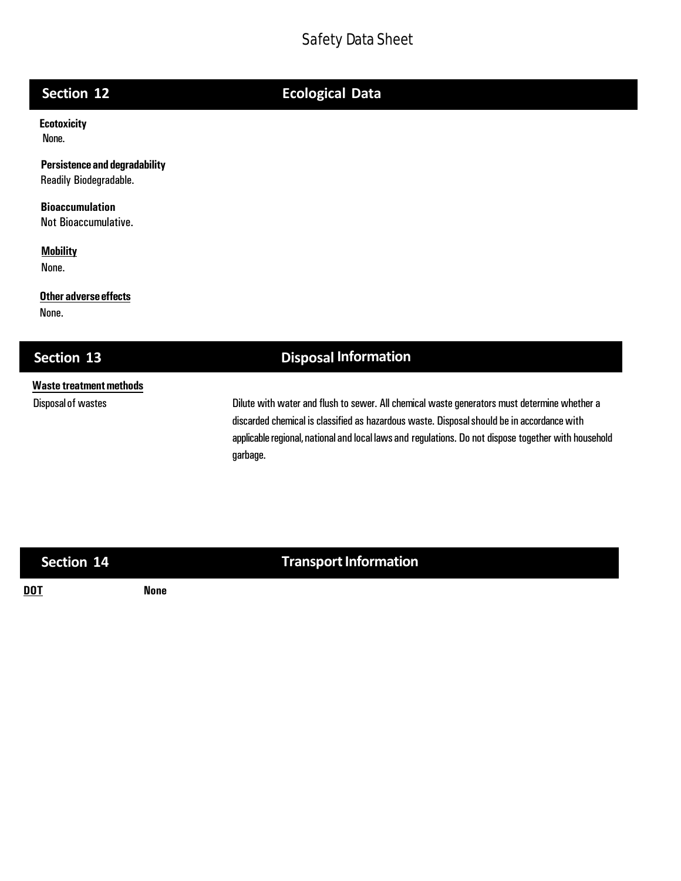# **Section 12 Ecological Data**

**Ecotoxicity**  None.

**Persistenceand degradability** Readily Biodegradable.

**Bioaccumulation** Not Bioaccumulative.

**Mobility** None.

**Other adverse effects**

None.

## **Section 13 Disposal Information**

## **Waste treatmentmethods**

Disposal of wastes **Dilute with water and flush to sewer.** All chemical waste generators must determine whether a discarded chemical is classified as hazardous waste. Disposal should be in accordance with applicable regional, national and local laws and regulations. Do not dispose together with household garbage.

**Section 14 Transport Information** 

**DOT None**